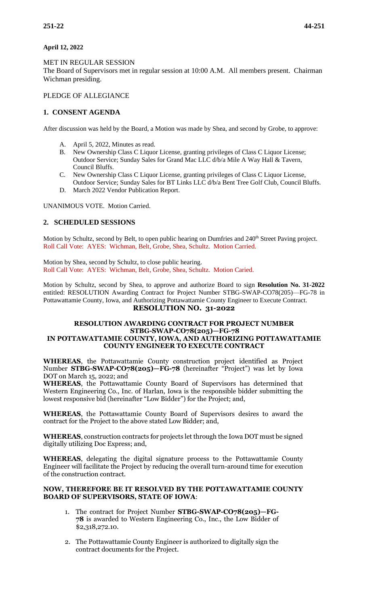## **April 12, 2022**

## MET IN REGULAR SESSION

The Board of Supervisors met in regular session at 10:00 A.M. All members present. Chairman Wichman presiding.

## PLEDGE OF ALLEGIANCE

## **1. CONSENT AGENDA**

After discussion was held by the Board, a Motion was made by Shea, and second by Grobe, to approve:

- A. April 5, 2022, Minutes as read.
- B. New Ownership Class C Liquor License, granting privileges of Class C Liquor License; Outdoor Service; Sunday Sales for Grand Mac LLC d/b/a Mile A Way Hall & Tavern, Council Bluffs.
- C. New Ownership Class C Liquor License, granting privileges of Class C Liquor License, Outdoor Service; Sunday Sales for BT Links LLC d/b/a Bent Tree Golf Club, Council Bluffs.
- D. March 2022 Vendor Publication Report.

UNANIMOUS VOTE. Motion Carried.

## **2. SCHEDULED SESSIONS**

Motion by Schultz, second by Belt, to open public hearing on Dumfries and 240<sup>th</sup> Street Paving project. Roll Call Vote: AYES: Wichman, Belt, Grobe, Shea, Schultz. Motion Carried.

Motion by Shea, second by Schultz, to close public hearing. Roll Call Vote: AYES: Wichman, Belt, Grobe, Shea, Schultz. Motion Caried.

Motion by Schultz, second by Shea, to approve and authorize Board to sign **Resolution No. 31-2022** entitled: RESOLUTION Awarding Contract for Project Number STBG-SWAP-CO78(205)—FG-78 in Pottawattamie County, Iowa, and Authorizing Pottawattamie County Engineer to Execute Contract. **RESOLUTION NO. 31-2022** 

### **RESOLUTION AWARDING CONTRACT FOR PROJECT NUMBER STBG-SWAP-CO78(205)—FG-78 IN POTTAWATTAMIE COUNTY, IOWA, AND AUTHORIZING POTTAWATTAMIE COUNTY ENGINEER TO EXECUTE CONTRACT**

**WHEREAS**, the Pottawattamie County construction project identified as Project Number **STBG-SWAP-CO78(205)—FG-78** (hereinafter "Project") was let by Iowa DOT on March 15, 2022; and

**WHEREAS**, the Pottawattamie County Board of Supervisors has determined that Western Engineering Co., Inc. of Harlan, Iowa is the responsible bidder submitting the lowest responsive bid (hereinafter "Low Bidder") for the Project; and,

**WHEREAS**, the Pottawattamie County Board of Supervisors desires to award the contract for the Project to the above stated Low Bidder; and,

**WHEREAS**, construction contracts for projects let through the Iowa DOT must be signed digitally utilizing Doc Express; and,

**WHEREAS**, delegating the digital signature process to the Pottawattamie County Engineer will facilitate the Project by reducing the overall turn-around time for execution of the construction contract.

#### **NOW, THEREFORE BE IT RESOLVED BY THE POTTAWATTAMIE COUNTY BOARD OF SUPERVISORS, STATE OF IOWA**:

- 1. The contract for Project Number **STBG-SWAP-CO78(205)—FG-78** is awarded to Western Engineering Co., Inc., the Low Bidder of \$2,318,272.10.
- 2. The Pottawattamie County Engineer is authorized to digitally sign the contract documents for the Project.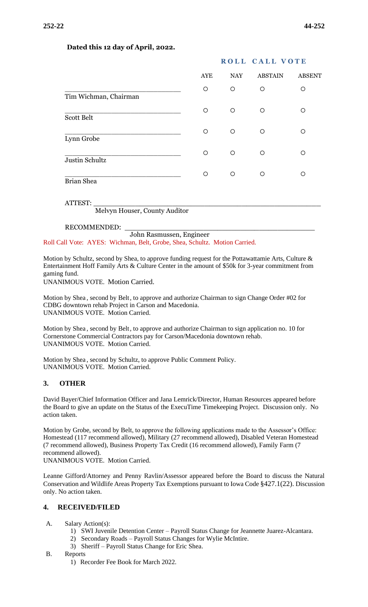|                                          |     | ROLL CALL VOTE |                |               |
|------------------------------------------|-----|----------------|----------------|---------------|
|                                          | AYE | NAY            | <b>ABSTAIN</b> | <b>ABSENT</b> |
| Tim Wichman, Chairman                    | O   | O              | O              | Ω             |
| <b>Scott Belt</b>                        | O   | O              | $\circ$        | ∩             |
| Lynn Grobe                               | O   | O              | $\circ$        | ∩             |
| Justin Schultz                           | ◯   | O              | $\circ$        | ∩             |
| <b>Brian Shea</b>                        | O   | O              | $\circ$        | ∩             |
| ATTEST:<br>Melvyn Houser, County Auditor |     |                |                |               |

### **Dated this 12 day of April, 2022.**

RECOMMENDED:

John Rasmussen, Engineer

Roll Call Vote: AYES: Wichman, Belt, Grobe, Shea, Schultz. Motion Carried.

Motion by Schultz, second by Shea, to approve funding request for the Pottawattamie Arts, Culture & Entertainment Hoff Family Arts & Culture Center in the amount of \$50k for 3-year commitment from gaming fund.

UNANIMOUS VOTE. Motion Carried.

Motion by Shea , second by Belt, to approve and authorize Chairman to sign Change Order #02 for CDBG downtown rehab Project in Carson and Macedonia. UNANIMOUS VOTE. Motion Carried.

Motion by Shea , second by Belt, to approve and authorize Chairman to sign application no. 10 for Cornerstone Commercial Contractors pay for Carson/Macedonia downtown rehab. UNANIMOUS VOTE. Motion Carried.

Motion by Shea , second by Schultz, to approve Public Comment Policy. UNANIMOUS VOTE. Motion Carried.

## **3. OTHER**

David Bayer/Chief Information Officer and Jana Lemrick/Director, Human Resources appeared before the Board to give an update on the Status of the ExecuTime Timekeeping Project. Discussion only. No action taken.

Motion by Grobe, second by Belt, to approve the following applications made to the Assessor's Office: Homestead (117 recommend allowed), Military (27 recommend allowed), Disabled Veteran Homestead (7 recommend allowed), Business Property Tax Credit (16 recommend allowed), Family Farm (7 recommend allowed).

UNANIMOUS VOTE. Motion Carried.

Leanne Gifford/Attorney and Penny Ravlin/Assessor appeared before the Board to discuss the Natural Conservation and Wildlife Areas Property Tax Exemptions pursuant to Iowa Code §427.1(22). Discussion only. No action taken.

## **4. RECEIVED/FILED**

- A. Salary Action(s):
	- 1) SWI Juvenile Detention Center Payroll Status Change for Jeannette Juarez-Alcantara.
	- 2) Secondary Roads Payroll Status Changes for Wylie McIntire.
	- 3) Sheriff Payroll Status Change for Eric Shea.
- B. Reports
	- 1) Recorder Fee Book for March 2022.